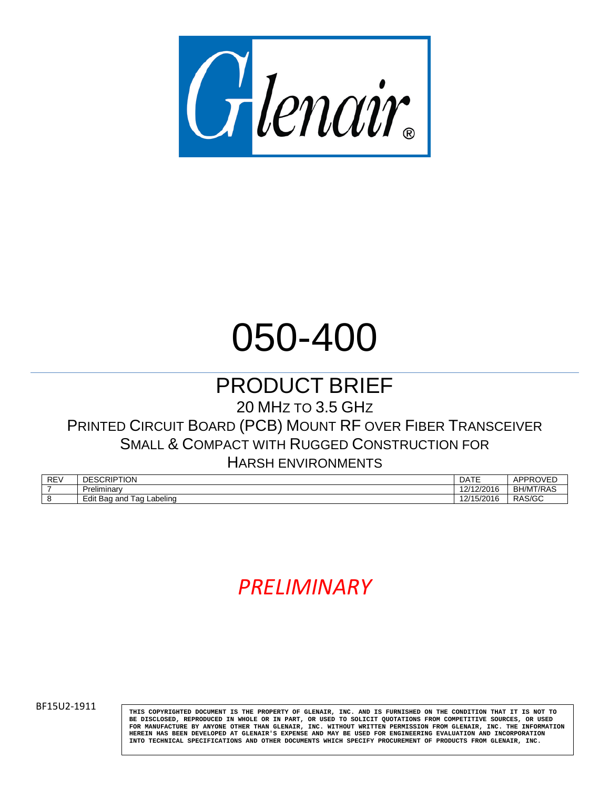

# 050-400

# PRODUCT BRIEF

20 MHZ TO 3.5 GHZ

PRINTED CIRCUIT BOARD (PCB) MOUNT RF OVER FIBER TRANSCEIVER SMALL & COMPACT WITH RUGGED CONSTRUCTION FOR

HARSH ENVIRONMENTS

| <b>REV</b> | <b>SCRIPTION</b><br><b>DESC</b>              | <b>DATE</b>                | $-$<br>APPRO'    |
|------------|----------------------------------------------|----------------------------|------------------|
|            | Preliminary                                  | 12/12/2016<br>ZIZUTO<br>اے | <b>BH/MT/RAS</b> |
|            | <b>Tag</b><br>∟abelino<br>Edit<br>and<br>Ваα | 2/1<br>12016<br>15/Z016    | RAS/GC           |

# *PRELIMINARY*

BF15U2-1911 **THIS COPYRIGHTED DOCUMENT IS THE PROPERTY OF GLENAIR, INC. AND IS FURNISHED ON THE CONDITION THAT IT IS NOT TO BE DISCLOSED, REPRODUCED IN WHOLE OR IN PART, OR USED TO SOLICIT QUOTATIONS FROM COMPETITIVE SOURCES, OR USED FOR MANUFACTURE BY ANYONE OTHER THAN GLENAIR, INC. WITHOUT WRITTEN PERMISSION FROM GLENAIR, INC. THE INFORMATION HEREIN HAS BEEN DEVELOPED AT GLENAIR'S EXPENSE AND MAY BE USED FOR ENGINEERING EVALUATION AND INCORPORATION INTO TECHNICAL SPECIFICATIONS AND OTHER DOCUMENTS WHICH SPECIFY PROCUREMENT OF PRODUCTS FROM GLENAIR, INC.**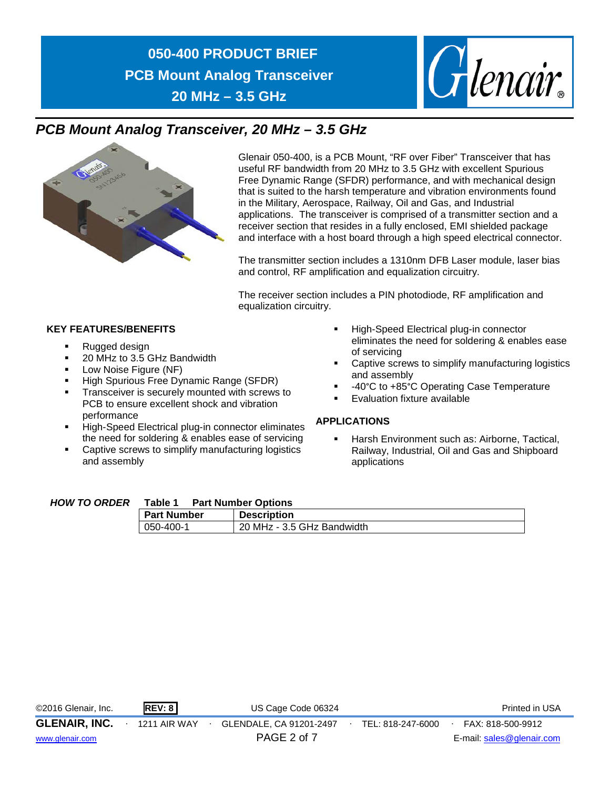

#### *PCB Mount Analog Transceiver, 20 MHz – 3.5 GHz*



Glenair 050-400, is a PCB Mount, "RF over Fiber" Transceiver that has useful RF bandwidth from 20 MHz to 3.5 GHz with excellent Spurious Free Dynamic Range (SFDR) performance, and with mechanical design that is suited to the harsh temperature and vibration environments found in the Military, Aerospace, Railway, Oil and Gas, and Industrial applications. The transceiver is comprised of a transmitter section and a receiver section that resides in a fully enclosed, EMI shielded package and interface with a host board through a high speed electrical connector.

The transmitter section includes a 1310nm DFB Laser module, laser bias and control, RF amplification and equalization circuitry.

The receiver section includes a PIN photodiode, RF amplification and equalization circuitry.

#### **KEY FEATURES/BENEFITS**

- Rugged design
- 20 MHz to 3.5 GHz Bandwidth
- Low Noise Figure (NF)
- High Spurious Free Dynamic Range (SFDR)
- Transceiver is securely mounted with screws to PCB to ensure excellent shock and vibration performance
- High-Speed Electrical plug-in connector eliminates the need for soldering & enables ease of servicing
- Captive screws to simplify manufacturing logistics and assembly
- High-Speed Electrical plug-in connector eliminates the need for soldering & enables ease of servicing
- Captive screws to simplify manufacturing logistics and assembly
- -40°C to +85°C Operating Case Temperature
- Evaluation fixture available

#### **APPLICATIONS**

**Harsh Environment such as: Airborne, Tactical,** Railway, Industrial, Oil and Gas and Shipboard applications

#### *HOW TO ORDER* **Table 1 Part Number Options**

| .                  | .                          |
|--------------------|----------------------------|
| <b>Part Number</b> | <b>Description</b>         |
| $1050 - 400 - 1$   | 20 MHz - 3.5 GHz Bandwidth |

| ©2016 Glenair, Inc.  | REV: 8       | US Cage Code 06324      |                   | Printed in USA            |
|----------------------|--------------|-------------------------|-------------------|---------------------------|
| <b>GLENAIR, INC.</b> | 1211 AIR WAY | GLENDALE, CA 91201-2497 | TEL: 818-247-6000 | FAX: 818-500-9912         |
| www.glenair.com      |              | PAGE 2 of 7             |                   | E-mail: sales@glenair.com |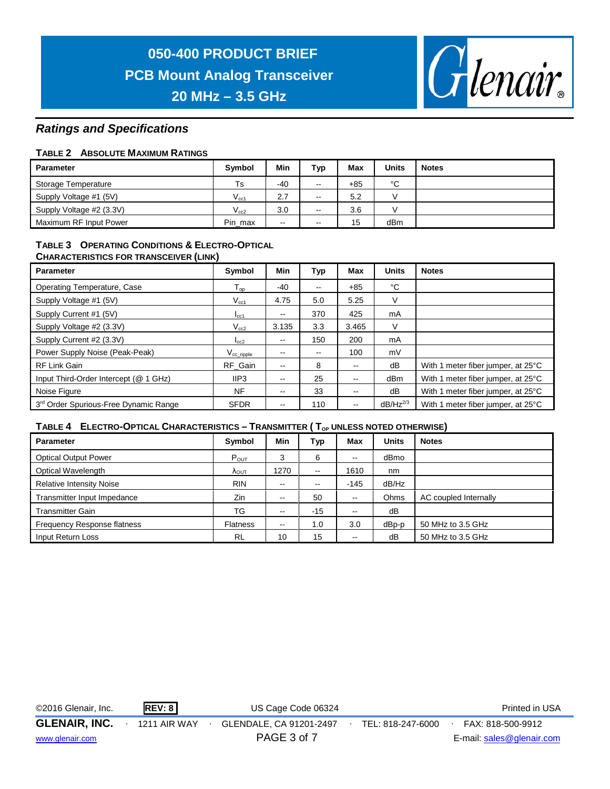

#### *Ratings and Specifications*

#### **TABLE 2 ABSOLUTE MAXIMUM RATINGS**

| <b>Parameter</b>         | <b>Symbol</b> | Min   | <b>Typ</b>               | Max   | <b>Units</b> | <b>Notes</b> |
|--------------------------|---------------|-------|--------------------------|-------|--------------|--------------|
| Storage Temperature      | Ts            | $-40$ | $- -$                    | $+85$ | °C           |              |
| Supply Voltage #1 (5V)   | $V_{cc1}$     | 2.7   | $- -$                    | 5.2   |              |              |
| Supply Voltage #2 (3.3V) | $V_{cc2}$     | 3.0   | $\overline{\phantom{a}}$ | 3.6   |              |              |
| Maximum RF Input Power   | Pin max       | $- -$ | $- -$                    | 15    | dBm          |              |

#### **TABLE 3 OPERATING CONDITIONS & ELECTRO-OPTICAL CHARACTERISTICS FOR TRANSCEIVER (LINK)**

| <b>Parameter</b>                      | Symbol                     | Min                      | Тур                      | Max    | <b>Units</b>    | <b>Notes</b>                       |
|---------------------------------------|----------------------------|--------------------------|--------------------------|--------|-----------------|------------------------------------|
| Operating Temperature, Case           | $\mathsf{T}_{\mathsf{op}}$ | $-40$                    | $\overline{\phantom{a}}$ | $+85$  | °C              |                                    |
| Supply Voltage #1 (5V)                | $V_{cc1}$                  | 4.75                     | 5.0                      | 5.25   | V               |                                    |
| Supply Current #1 (5V)                | $I_{\rm CC1}$              | $- -$                    | 370                      | 425    | mA              |                                    |
| Supply Voltage #2 (3.3V)              | $V_{cc2}$                  | 3.135                    | 3.3                      | 3.465  | V               |                                    |
| Supply Current #2 (3.3V)              | $I_{cc2}$                  | $\overline{\phantom{a}}$ | 150                      | 200    | mA              |                                    |
| Power Supply Noise (Peak-Peak)        | $V_{cc\_ripple}$           | --                       | $\overline{\phantom{a}}$ | 100    | mV              |                                    |
| <b>RF Link Gain</b>                   | RF Gain                    | --                       | 8                        | $\sim$ | dB              | With 1 meter fiber jumper, at 25°C |
| Input Third-Order Intercept (@ 1 GHz) | IIP3                       | --                       | 25                       | --     | dB <sub>m</sub> | With 1 meter fiber jumper, at 25°C |
| Noise Figure                          | <b>NF</b>                  | $- -$                    | 33                       | --     | dB              | With 1 meter fiber jumper, at 25°C |
| 3rd Order Spurious-Free Dynamic Range | <b>SFDR</b>                | --                       | 110                      | --     | $dB/Hz^{2/3}$   | With 1 meter fiber jumper, at 25°C |

#### **TABLE 4 ELECTRO-OPTICAL CHARACTERISTICS – TRANSMITTER (T<sub>OP</sub> UNLESS NOTED OTHERWISE)**

| <b>Parameter</b>                   | Symbol                 | Min                      | Тур   | Max                      | <b>Units</b> | <b>Notes</b>          |
|------------------------------------|------------------------|--------------------------|-------|--------------------------|--------------|-----------------------|
| <b>Optical Output Power</b>        | $P_{OUT}$              | 3                        | 6     | $\sim$                   | dBmo         |                       |
| Optical Wavelength                 | $\Lambda_{\text{OUT}}$ | 1270                     | $- -$ | 1610                     | nm           |                       |
| <b>Relative Intensity Noise</b>    | <b>RIN</b>             | $- -$                    | --    | $-145$                   | dB/Hz        |                       |
| Transmitter Input Impedance        | Zin                    | $-$                      | 50    | $\overline{\phantom{a}}$ | Ohms         | AC coupled Internally |
| <b>Transmitter Gain</b>            | TG                     | $\overline{\phantom{m}}$ | $-15$ | $\sim$ $\sim$            | dB           |                       |
| <b>Frequency Response flatness</b> | <b>Flatness</b>        | $\sim$ $\sim$            | 1.0   | 3.0                      | dBp-p        | 50 MHz to 3.5 GHz     |
| Input Return Loss                  | <b>RL</b>              | 10                       | 15    | $\sim$ $\sim$            | dB           | 50 MHz to 3.5 GHz     |

©2016 Glenair, Inc. **REV: 8** US Cage Code 06324 **Printed in USA**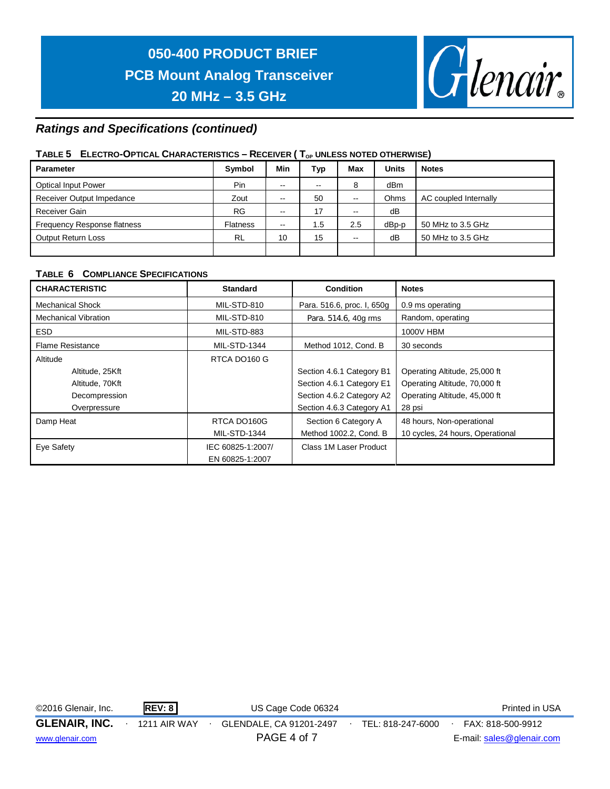

#### *Ratings and Specifications (continued)*

#### TABLE 5 ELECTRO-OPTICAL CHARACTERISTICS – RECEIVER (T<sub>OP</sub> UNLESS NOTED OTHERWISE)

| <b>Parameter</b>                   | Symbol          | Min           | Typ | <b>Max</b>               | <b>Units</b>    | <b>Notes</b>          |
|------------------------------------|-----------------|---------------|-----|--------------------------|-----------------|-----------------------|
| <b>Optical Input Power</b>         | Pin             | --            | --  | 8                        | dB <sub>m</sub> |                       |
| Receiver Output Impedance          | Zout            | --            | 50  | $\overline{\phantom{a}}$ | Ohms            | AC coupled Internally |
| Receiver Gain                      | <b>RG</b>       | $-$           | 17  | $\overline{\phantom{a}}$ | dB              |                       |
| <b>Frequency Response flatness</b> | <b>Flatness</b> | $\sim$ $\sim$ | 1.5 | 2.5                      | dBp-p           | 50 MHz to 3.5 GHz     |
| <b>Output Return Loss</b>          | <b>RL</b>       | 10            | 15  | $\sim$ $\sim$            | dB              | 50 MHz to 3.5 GHz     |
|                                    |                 |               |     |                          |                 |                       |

#### **TABLE 6 COMPLIANCE SPECIFICATIONS**

| <b>CHARACTERISTIC</b>       | <b>Standard</b>     | <b>Condition</b>           | <b>Notes</b>                     |
|-----------------------------|---------------------|----------------------------|----------------------------------|
| <b>Mechanical Shock</b>     | MIL-STD-810         | Para. 516.6, proc. I, 650g | 0.9 ms operating                 |
| <b>Mechanical Vibration</b> | MIL-STD-810         | Para. 514.6, 40g rms       | Random, operating                |
| <b>ESD</b>                  | MIL-STD-883         |                            | 1000V HBM                        |
| <b>Flame Resistance</b>     | <b>MIL-STD-1344</b> | Method 1012, Cond. B       | 30 seconds                       |
| Altitude                    | RTCA DO160 G        |                            |                                  |
| Altitude, 25Kft             |                     | Section 4.6.1 Category B1  | Operating Altitude, 25,000 ft    |
| Altitude, 70Kft             |                     | Section 4.6.1 Category E1  | Operating Altitude, 70,000 ft    |
| Decompression               |                     | Section 4.6.2 Category A2  | Operating Altitude, 45,000 ft    |
| Overpressure                |                     | Section 4.6.3 Category A1  | 28 psi                           |
| Damp Heat                   | RTCA DO160G         | Section 6 Category A       | 48 hours, Non-operational        |
|                             | <b>MIL-STD-1344</b> | Method 1002.2, Cond. B     | 10 cycles, 24 hours, Operational |
| Eye Safety                  | IEC 60825-1:2007/   | Class 1M Laser Product     |                                  |
|                             | EN 60825-1:2007     |                            |                                  |

©2016 Glenair, Inc. **REV: 8** US Cage Code 06324 Printed in USA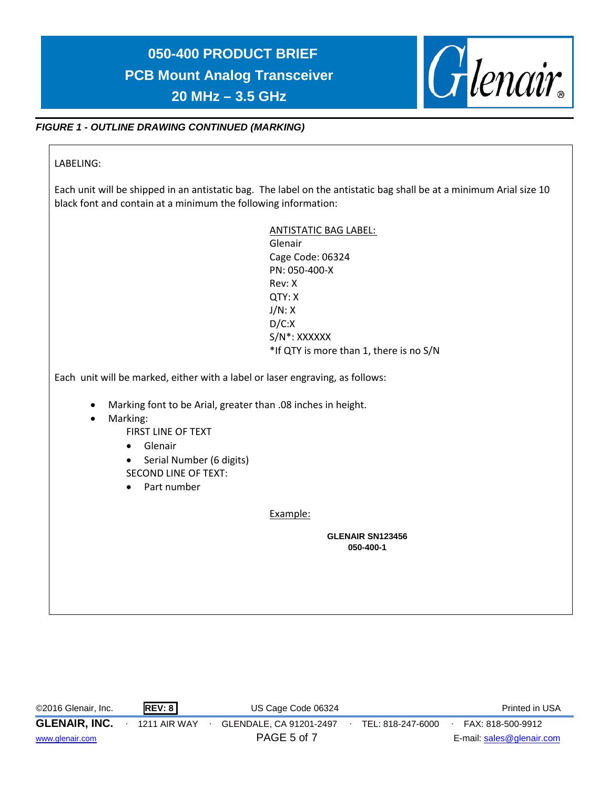

#### *FIGURE 1 - OUTLINE DRAWING CONTINUED (MARKING)*

#### LABELING:

Each unit will be shipped in an antistatic bag. The label on the antistatic bag shall be at a minimum Arial size 10 black font and contain at a minimum the following information:

| Glenair<br>Cage Code: 06324                                                                                                                   |
|-----------------------------------------------------------------------------------------------------------------------------------------------|
| PN: 050-400-X                                                                                                                                 |
| Rev: X                                                                                                                                        |
| QTY: X                                                                                                                                        |
| J/N: X                                                                                                                                        |
| D/C:X                                                                                                                                         |
| S/N*: XXXXXX                                                                                                                                  |
| *If QTY is more than 1, there is no S/N                                                                                                       |
| FIRST LINE OF TEXT<br>Serial Number (6 digits)<br><b>SECOND LINE OF TEXT:</b>                                                                 |
|                                                                                                                                               |
| Example:                                                                                                                                      |
| Each unit will be marked, either with a label or laser engraving, as follows:<br>Marking font to be Arial, greater than .08 inches in height. |

| ©2016 Glenair, Inc.  | <b>REV: 8</b> | US Cage Code 06324      |                   | Printed in USA            |
|----------------------|---------------|-------------------------|-------------------|---------------------------|
| <b>GLENAIR, INC.</b> | 1211 AIR WAY  | GLENDALE, CA 91201-2497 | TEL: 818-247-6000 | FAX: 818-500-9912         |
| www.glenair.com      |               | PAGE 5 of 7             |                   | E-mail: sales@glenair.com |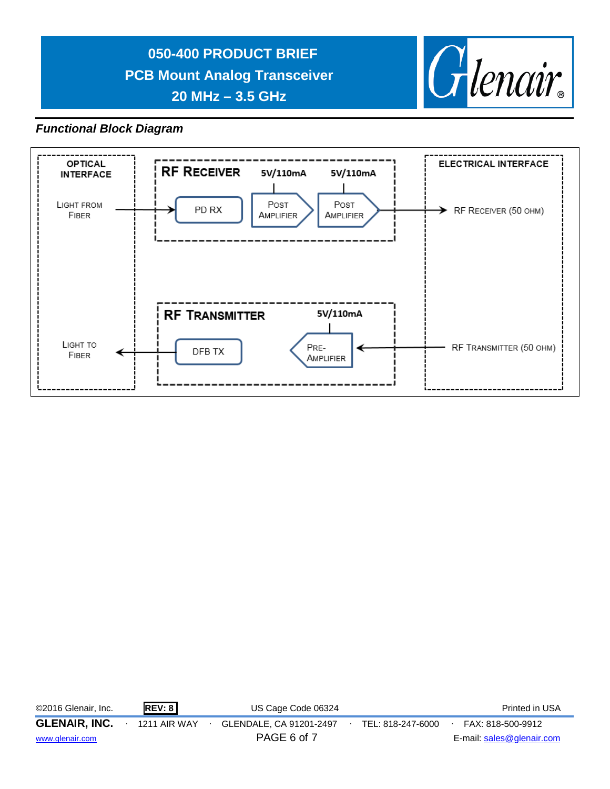

#### *Functional Block Diagram*



| ©2016 Glenair, Inc.  | REV: 8              | US Cage Code 06324      |                   | Printed in USA            |
|----------------------|---------------------|-------------------------|-------------------|---------------------------|
| <b>GLENAIR, INC.</b> | <b>1211 AIR WAY</b> | GLENDALE, CA 91201-2497 | TEL: 818-247-6000 | FAX: 818-500-9912         |
| www.glenair.com      |                     | PAGE 6 of 7             |                   | E-mail: sales@glenair.com |